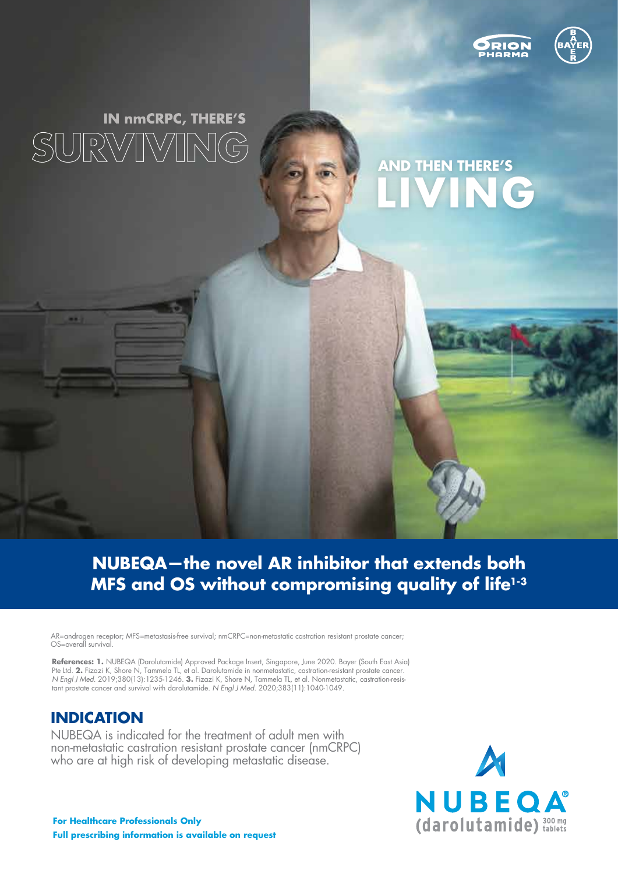



# IN nmCRPC, THERE'S SURWIN

# **AND THEN THERE'S LIVING**

### **NUBEQA—the novel AR inhibitor that extends both MFS and OS without compromising quality of life1-3**

AR=androgen receptor; MFS=metastasis-free survival; nmCRPC=non-metastatic castration resistant prostate cancer; OS=overall survival.

**References: 1.** NUBEQA (Darolutamide) Approved Package Insert, Singapore, June 2020. Bayer (South East Asia) Pte Ltd. **2.** Fizazi K, Shore N, Tammela TL, et al. Darolutamide in nonmetastatic, castration-resistant prostate cancer. *N Engl J Med*. 2019;380(13):1235-1246. **3.** Fizazi K, Shore N, Tammela TL, et al. Nonmetastatic, castration-resistant prostate cancer and survival with darolutamide. *N Engl J Med.* 2020;383(11):1040-1049.

#### **INDICATION**

NUBEQA is indicated for the treatment of adult men with non-metastatic castration resistant prostate cancer (nmCRPC) who are at high risk of developing metastatic disease.

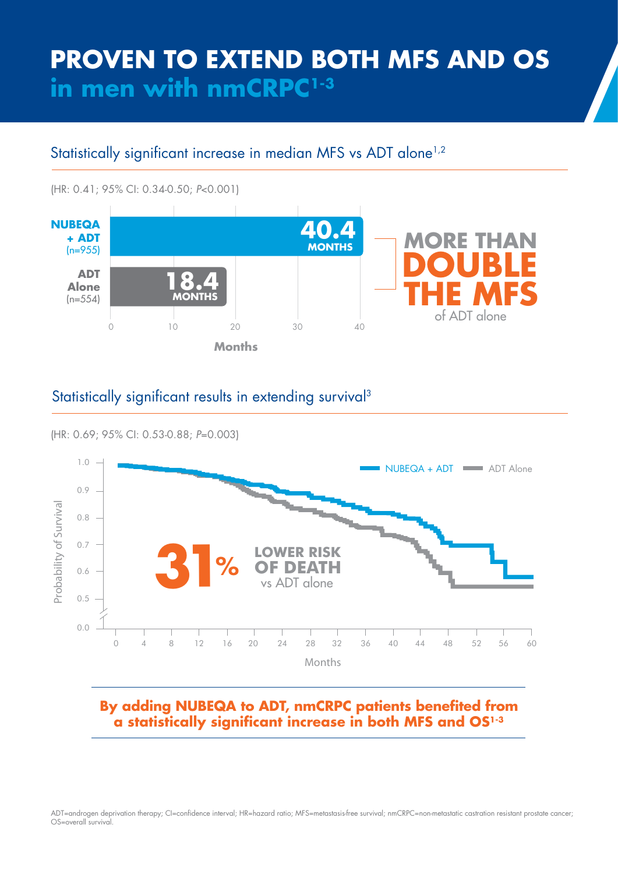# **PROVEN TO EXTEND BOTH MFS AND OS in men with nmCRPC1-3**

### Statistically significant increase in median MFS vs ADT alone<sup>1,2</sup>

(HR: 0.41; 95% CI: 0.34-0.50; *P*<0.001)



#### Statistically significant results in extending survival<sup>3</sup>





#### **By adding NUBEQA to ADT, nmCRPC patients benefited from a statistically significant increase in both MFS and OS1-3**

ADT=androgen deprivation therapy; CI=confidence interval; HR=hazard ratio; MFS=metastasis-free survival; nmCRPC=non-metastatic castration resistant prostate cancer; OS=overall survival.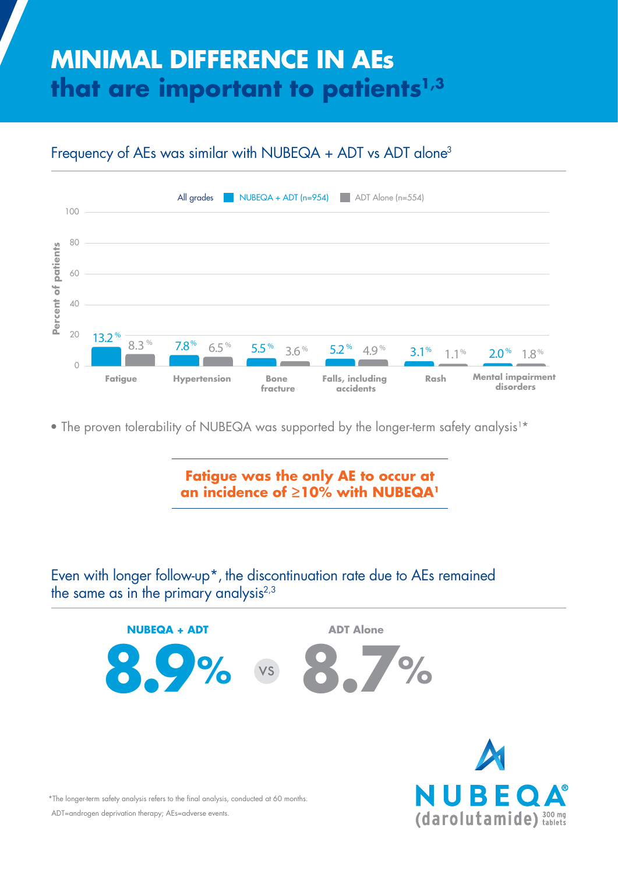# **MINIMAL DIFFERENCE IN AEs that are important to patients1,3**





• The proven tolerability of NUBEQA was supported by the longer-term safety analysis<sup>1\*</sup>

**Fatigue was the only AE to occur at an incidence of ≥10% with NUBEQA1**

Even with longer follow-up\*, the discontinuation rate due to AEs remained the same as in the primary analysis<sup>2,3</sup>



(darolutamide) 300 mg



ADT=androgen deprivation therapy; AEs=adverse events.